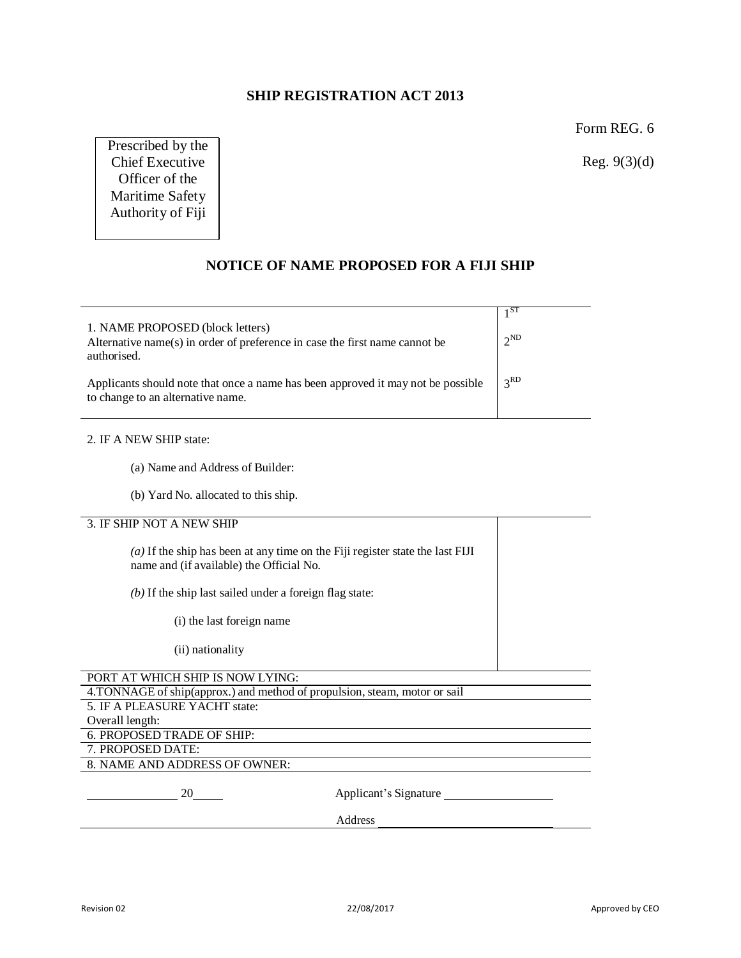## **SHIP REGISTRATION ACT 2013**

Form REG. 6

Reg. 9(3)(d)

Prescribed by the Chief Executive Officer of the Maritime Safety Authority of Fiji

## **NOTICE OF NAME PROPOSED FOR A FIJI SHIP**

| 1. NAME PROPOSED (block letters)<br>Alternative name(s) in order of preference in case the first name cannot be<br>authorised. | $2^{ND}$        |
|--------------------------------------------------------------------------------------------------------------------------------|-----------------|
| Applicants should note that once a name has been approved it may not be possible<br>to change to an alternative name.          | 3 <sup>RD</sup> |

#### 2. IF A NEW SHIP state:

- (a) Name and Address of Builder:
- (b) Yard No. allocated to this ship.

### 3. IF SHIP NOT A NEW SHIP

| $(a)$ If the ship has been at any time on the Fiji register state the last FIJI<br>name and (if available) the Official No. |                       |  |
|-----------------------------------------------------------------------------------------------------------------------------|-----------------------|--|
| $(b)$ If the ship last sailed under a foreign flag state:                                                                   |                       |  |
| (i) the last foreign name                                                                                                   |                       |  |
| (ii) nationality                                                                                                            |                       |  |
| PORT AT WHICH SHIP IS NOW LYING:                                                                                            |                       |  |
| 4. TONNAGE of ship(approx.) and method of propulsion, steam, motor or sail                                                  |                       |  |
| 5. IF A PLEASURE YACHT state:                                                                                               |                       |  |
| Overall length:                                                                                                             |                       |  |
| 6. PROPOSED TRADE OF SHIP:                                                                                                  |                       |  |
| 7. PROPOSED DATE:                                                                                                           |                       |  |
| 8. NAME AND ADDRESS OF OWNER:                                                                                               |                       |  |
| 20                                                                                                                          | Applicant's Signature |  |
|                                                                                                                             | Address               |  |